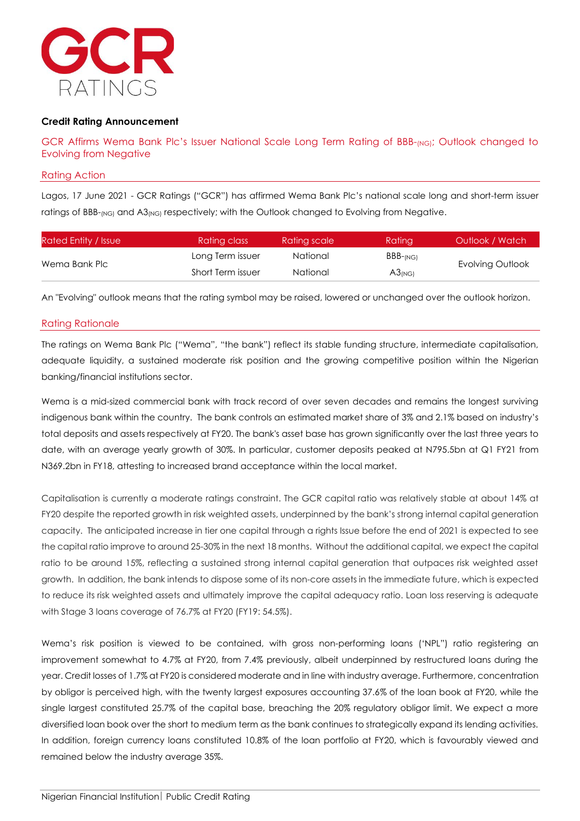

## **Credit Rating Announcement**

GCR Affirms Wema Bank Plc's Issuer National Scale Long Term Rating of BBB-<sub>(NG)</sub>; Outlook changed to Evolving from Negative

### Rating Action

Lagos, 17 June 2021 - GCR Ratings ("GCR") has affirmed Wema Bank Plc's national scale long and short-term issuer ratings of BBB-(NG) and A3(NG) respectively; with the Outlook changed to Evolving from Negative.

| Rated Entity / Issue | Rating class      | Rating scale | Rating         | Outlook / Watch  |  |
|----------------------|-------------------|--------------|----------------|------------------|--|
| Wema Bank Plc        | Long Term issuer  | National     | $BBB$ - $(NG)$ |                  |  |
|                      | Short Term issuer | National     | $A3_{(NG)}$    | Evolving Outlook |  |

An "Evolving" outlook means that the rating symbol may be raised, lowered or unchanged over the outlook horizon.

## Rating Rationale

The ratings on Wema Bank Plc ("Wema", "the bank") reflect its stable funding structure, intermediate capitalisation, adequate liquidity, a sustained moderate risk position and the growing competitive position within the Nigerian banking/financial institutions sector.

Wema is a mid-sized commercial bank with track record of over seven decades and remains the longest surviving indigenous bank within the country. The bank controls an estimated market share of 3% and 2.1% based on industry's total deposits and assets respectively at FY20. The bank's asset base has grown significantly over the last three years to date, with an average yearly growth of 30%. In particular, customer deposits peaked at N795.5bn at Q1 FY21 from N369.2bn in FY18, attesting to increased brand acceptance within the local market.

Capitalisation is currently a moderate ratings constraint. The GCR capital ratio was relatively stable at about 14% at FY20 despite the reported growth in risk weighted assets, underpinned by the bank's strong internal capital generation capacity. The anticipated increase in tier one capital through a rights Issue before the end of 2021 is expected to see the capital ratio improve to around 25-30% in the next 18 months. Without the additional capital, we expect the capital ratio to be around 15%, reflecting a sustained strong internal capital generation that outpaces risk weighted asset growth. In addition, the bank intends to dispose some of its non-core assets in the immediate future, which is expected to reduce its risk weighted assets and ultimately improve the capital adequacy ratio. Loan loss reserving is adequate with Stage 3 loans coverage of 76.7% at FY20 (FY19: 54.5%).

Wema's risk position is viewed to be contained, with gross non-performing loans ('NPL") ratio registering an improvement somewhat to 4.7% at FY20, from 7.4% previously, albeit underpinned by restructured loans during the year. Credit losses of 1.7% at FY20 is considered moderate and in line with industry average. Furthermore, concentration by obligor is perceived high, with the twenty largest exposures accounting 37.6% of the loan book at FY20, while the single largest constituted 25.7% of the capital base, breaching the 20% regulatory obligor limit. We expect a more diversified loan book over the short to medium term as the bank continues to strategically expand its lending activities. In addition, foreign currency loans constituted 10.8% of the loan portfolio at FY20, which is favourably viewed and remained below the industry average 35%.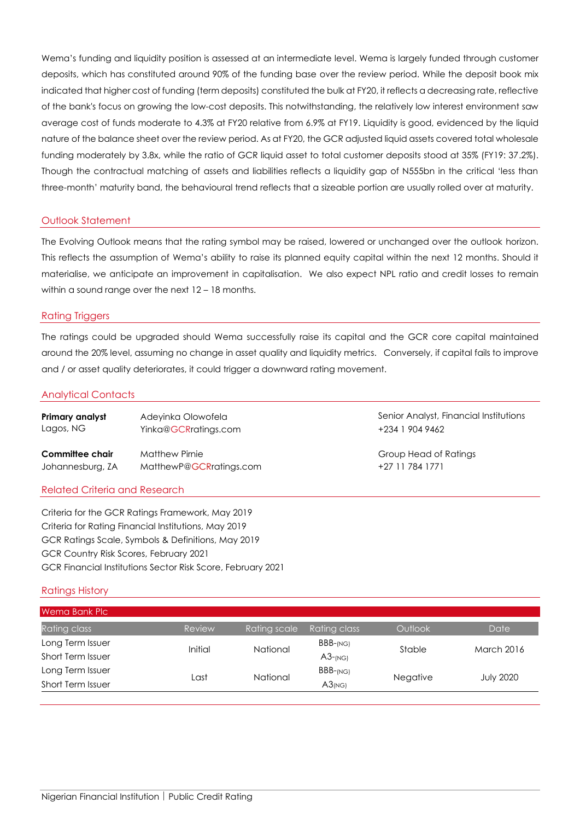Wema's funding and liquidity position is assessed at an intermediate level. Wema is largely funded through customer deposits, which has constituted around 90% of the funding base over the review period. While the deposit book mix indicated that higher cost of funding (term deposits) constituted the bulk at FY20, it reflects a decreasing rate, reflective of the bank's focus on growing the low-cost deposits. This notwithstanding, the relatively low interest environment saw average cost of funds moderate to 4.3% at FY20 relative from 6.9% at FY19. Liquidity is good, evidenced by the liquid nature of the balance sheet over the review period. As at FY20, the GCR adjusted liquid assets covered total wholesale funding moderately by 3.8x, while the ratio of GCR liquid asset to total customer deposits stood at 35% (FY19: 37.2%). Though the contractual matching of assets and liabilities reflects a liquidity gap of N555bn in the critical 'less than three-month' maturity band, the behavioural trend reflects that a sizeable portion are usually rolled over at maturity.

## Outlook Statement

The Evolving Outlook means that the rating symbol may be raised, lowered or unchanged over the outlook horizon. This reflects the assumption of Wema's ability to raise its planned equity capital within the next 12 months. Should it materialise, we anticipate an improvement in capitalisation. We also expect NPL ratio and credit losses to remain within a sound range over the next 12 – 18 months.

#### Rating Triggers

The ratings could be upgraded should Wema successfully raise its capital and the GCR core capital maintained around the 20% level, assuming no change in asset quality and liquidity metrics. Conversely, if capital fails to improve and / or asset quality deteriorates, it could trigger a downward rating movement.

#### Analytical Contacts

| <b>Primary analyst</b><br>Lagos, NG | Adeyinka Olowofela<br>Yinka@GCRratings.com |
|-------------------------------------|--------------------------------------------|
| Committee chair                     | <b>Matthew Pirnie</b>                      |
| - Iohannesbura 7.A                  | MatthewP@GCRratinas.com                    |

### **Senior Analyst, Financial Institutions** +234 1 904 9462

**Group Head of Ratings** +27 11 784 1771

#### Related Criteria and Research

Criteria for the GCR Ratings Framework, May 2019 Criteria for Rating Financial Institutions, May 2019 GCR Ratings Scale, Symbols & Definitions, May 2019 GCR Country Risk Scores, February 2021 GCR Financial Institutions Sector Risk Score, February 2021

#### Ratings History

| Wema Bank Plc            |         |              |              |                 |                  |
|--------------------------|---------|--------------|--------------|-----------------|------------------|
| Rating class             | Review  | Rating scale | Rating class | Outlook         | Date             |
| Long Term Issuer         | Initial | National     | $BBB$ -(NG)  | Stable          | March 2016       |
| Short Term Issuer        |         |              | $A3$ -(NG)   |                 |                  |
| Long Term Issuer         | Last    | National     | $BBB$ -(NG)  | <b>Negative</b> | <b>July 2020</b> |
| <b>Short Term Issuer</b> |         |              | $A3_{(NG)}$  |                 |                  |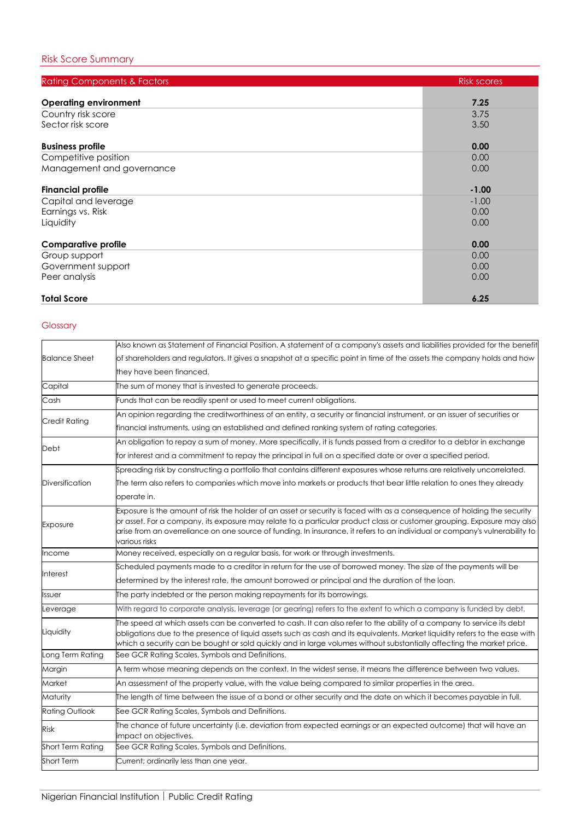| <b>Rating Components &amp; Factors</b> | <b>Risk scores</b> |
|----------------------------------------|--------------------|
|                                        |                    |
| <b>Operating environment</b>           | 7.25               |
| Country risk score                     | 3.75               |
| Sector risk score                      | 3.50               |
| <b>Business profile</b>                | 0.00               |
| Competitive position                   | 0.00               |
| Management and governance              | 0.00               |
| <b>Financial profile</b>               | $-1.00$            |
| Capital and leverage                   | $-1.00$            |
| Earnings vs. Risk                      | 0.00               |
| Liquidity                              | 0.00               |
| <b>Comparative profile</b>             | 0.00               |
| Group support                          | 0.00               |
| Government support                     | 0.00               |
| Peer analysis                          | 0.00               |
| <b>Total Score</b>                     | 6.25               |

# Glossary

| Also known as Statement of Financial Position. A statement of a company's assets and liabilities provided for the benefit                                                                                                                                                                                                                                                                          |
|----------------------------------------------------------------------------------------------------------------------------------------------------------------------------------------------------------------------------------------------------------------------------------------------------------------------------------------------------------------------------------------------------|
| of shareholders and regulators. It gives a snapshot at a specific point in time of the assets the company holds and how                                                                                                                                                                                                                                                                            |
| they have been financed.                                                                                                                                                                                                                                                                                                                                                                           |
| The sum of money that is invested to generate proceeds.                                                                                                                                                                                                                                                                                                                                            |
| Funds that can be readily spent or used to meet current obligations.                                                                                                                                                                                                                                                                                                                               |
| An opinion regarding the creditworthiness of an entity, a security or financial instrument, or an issuer of securities or                                                                                                                                                                                                                                                                          |
| financial instruments, using an established and defined ranking system of rating categories.                                                                                                                                                                                                                                                                                                       |
| An obligation to repay a sum of money. More specifically, it is funds passed from a creditor to a debtor in exchange                                                                                                                                                                                                                                                                               |
| for interest and a commitment to repay the principal in full on a specified date or over a specified period.                                                                                                                                                                                                                                                                                       |
| Spreading risk by constructing a portfolio that contains different exposures whose returns are relatively uncorrelated.                                                                                                                                                                                                                                                                            |
| The term also refers to companies which move into markets or products that bear little relation to ones they already                                                                                                                                                                                                                                                                               |
| operate in.                                                                                                                                                                                                                                                                                                                                                                                        |
| Exposure is the amount of risk the holder of an asset or security is faced with as a consequence of holding the security<br>or asset. For a company, its exposure may relate to a particular product class or customer grouping. Exposure may also<br>arise from an overreliance on one source of funding. In insurance, it refers to an individual or company's vulnerability to<br>various risks |
| Money received, especially on a regular basis, for work or through investments.                                                                                                                                                                                                                                                                                                                    |
| Scheduled payments made to a creditor in return for the use of borrowed money. The size of the payments will be                                                                                                                                                                                                                                                                                    |
| determined by the interest rate, the amount borrowed or principal and the duration of the loan.                                                                                                                                                                                                                                                                                                    |
| The party indebted or the person making repayments for its borrowings.                                                                                                                                                                                                                                                                                                                             |
| With regard to corporate analysis, leverage (or gearing) refers to the extent to which a company is funded by debt.                                                                                                                                                                                                                                                                                |
| The speed at which assets can be converted to cash. It can also refer to the ability of a company to service its debt<br>obligations due to the presence of liquid assets such as cash and its equivalents. Market liquidity refers to the ease with<br>which a security can be bought or sold quickly and in large volumes without substantially affecting the market price.                      |
| See GCR Rating Scales, Symbols and Definitions.                                                                                                                                                                                                                                                                                                                                                    |
| A term whose meaning depends on the context. In the widest sense, it means the difference between two values.                                                                                                                                                                                                                                                                                      |
| An assessment of the property value, with the value being compared to similar properties in the area.                                                                                                                                                                                                                                                                                              |
| The length of time between the issue of a bond or other security and the date on which it becomes payable in full.                                                                                                                                                                                                                                                                                 |
| See GCR Rating Scales, Symbols and Definitions.                                                                                                                                                                                                                                                                                                                                                    |
| The chance of future uncertainty (i.e. deviation from expected earnings or an expected outcome) that will have an<br>impact on objectives.                                                                                                                                                                                                                                                         |
| See GCR Rating Scales, Symbols and Definitions.                                                                                                                                                                                                                                                                                                                                                    |
| Current; ordinarily less than one year.                                                                                                                                                                                                                                                                                                                                                            |
|                                                                                                                                                                                                                                                                                                                                                                                                    |